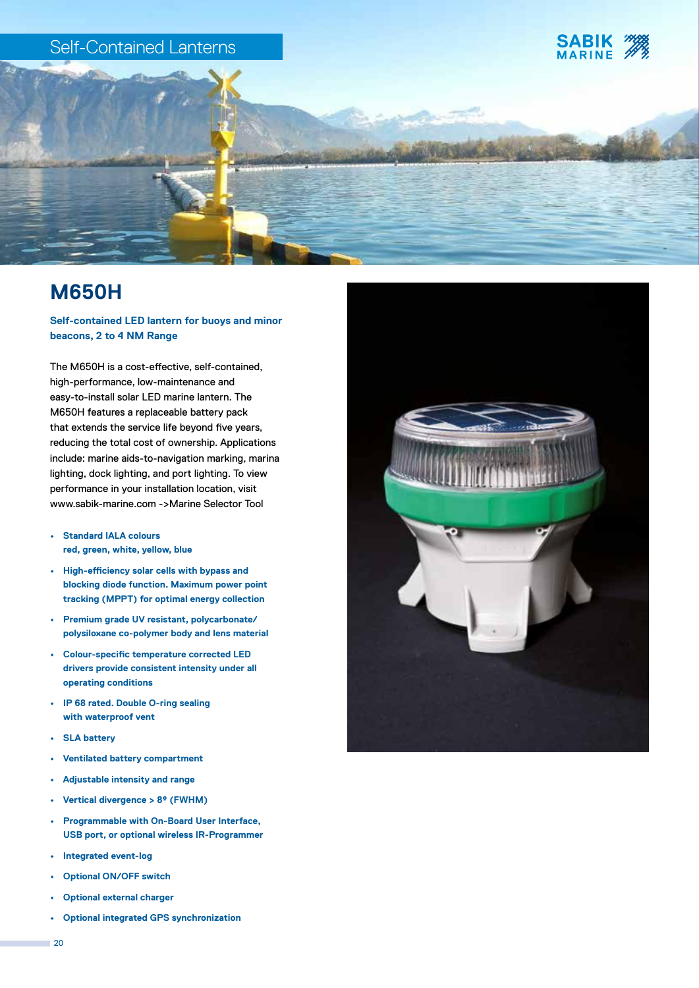

# **M650H**

## **Self-contained LED lantern for buoys and minor beacons, 2 to 4 NM Range**

The M650H is a cost-effective, self-contained, high-performance, low-maintenance and easy-to-install solar LED marine lantern. The M650H features a replaceable battery pack that extends the service life beyond five years, reducing the total cost of ownership. Applications include: marine aids-to-navigation marking, marina lighting, dock lighting, and port lighting. To view performance in your installation location, visit www.sabik-marine.com ->Marine Selector Tool

- **• Standard IALA colours red, green, white, yellow, blue**
- **• High-efficiency solar cells with bypass and blocking diode function. Maximum power point tracking (MPPT) for optimal energy collection**
- **• Premium grade UV resistant, polycarbonate/ polysiloxane co-polymer body and lens material**
- **• Colour-specific temperature corrected LED drivers provide consistent intensity under all operating conditions**
- **• IP 68 rated. Double O-ring sealing with waterproof vent**
- **• SLA battery**
- **• Ventilated battery compartment**
- **• Adjustable intensity and range**
- **• Vertical divergence > 8º (FWHM)**
- **• Programmable with On-Board User Interface, USB port, or optional wireless IR-Programmer**
- **• Integrated event-log**
- **• Optional ON/OFF switch**
- **• Optional external charger**
- **• Optional integrated GPS synchronization**